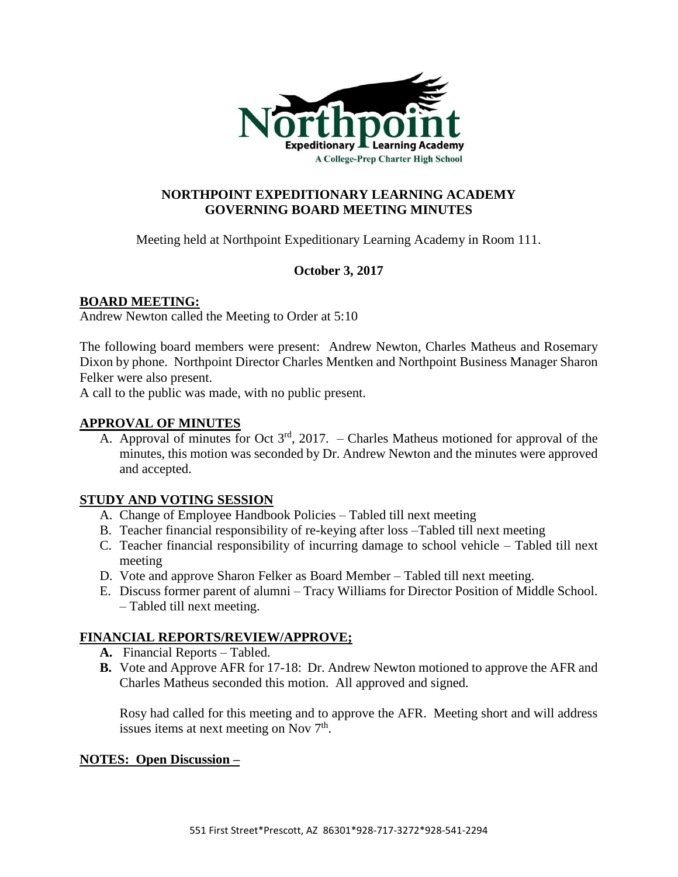

# **NORTHPOINT EXPEDITIONARY LEARNING ACADEMY GOVERNING BOARD MEETING MINUTES**

Meeting held at Northpoint Expeditionary Learning Academy in Room 111.

### **October 3, 2017**

### **BOARD MEETING:**

Andrew Newton called the Meeting to Order at 5:10

The following board members were present: Andrew Newton, Charles Matheus and Rosemary Dixon by phone. Northpoint Director Charles Mentken and Northpoint Business Manager Sharon Felker were also present.

A call to the public was made, with no public present.

### **APPROVAL OF MINUTES**

A. Approval of minutes for Oct  $3<sup>rd</sup>$ , 2017. – Charles Matheus motioned for approval of the minutes, this motion was seconded by Dr. Andrew Newton and the minutes were approved and accepted.

### **STUDY AND VOTING SESSION**

- A. Change of Employee Handbook Policies Tabled till next meeting
- B. Teacher financial responsibility of re-keying after loss –Tabled till next meeting
- C. Teacher financial responsibility of incurring damage to school vehicle Tabled till next meeting
- D. Vote and approve Sharon Felker as Board Member Tabled till next meeting.
- E. Discuss former parent of alumni Tracy Williams for Director Position of Middle School. – Tabled till next meeting.

### **FINANCIAL REPORTS/REVIEW/APPROVE;**

- **A.** Financial Reports Tabled.
- **B.** Vote and Approve AFR for 17-18: Dr. Andrew Newton motioned to approve the AFR and Charles Matheus seconded this motion. All approved and signed.

Rosy had called for this meeting and to approve the AFR. Meeting short and will address issues items at next meeting on Nov  $7<sup>th</sup>$ .

### **NOTES: Open Discussion –**